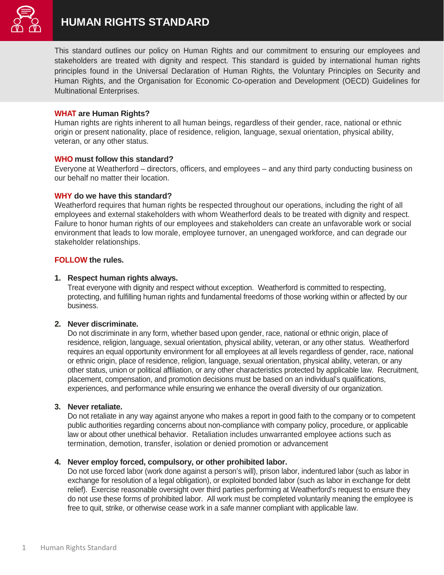

This standard outlines our policy on Human Rights and our commitment to ensuring our employees and stakeholders are treated with dignity and respect. This standard is guided by international human rights principles found in the Universal Declaration of Human Rights, the Voluntary Principles on Security and Human Rights, and the Organisation for Economic Co-operation and Development (OECD) Guidelines for Multinational Enterprises.

#### **WHAT are Human Rights?**

Human rights are rights inherent to all human beings, regardless of their gender, race, national or ethnic origin or present nationality, place of residence, religion, language, sexual orientation, physical ability, veteran, or any other status.

#### **WHO must follow this standard?**

Everyone at Weatherford – directors, officers, and employees – and any third party conducting business on our behalf no matter their location.

#### **WHY do we have this standard?**

Weatherford requires that human rights be respected throughout our operations, including the right of all employees and external stakeholders with whom Weatherford deals to be treated with dignity and respect. Failure to honor human rights of our employees and stakeholders can create an unfavorable work or social environment that leads to low morale, employee turnover, an unengaged workforce, and can degrade our stakeholder relationships.

# **FOLLOW the rules.**

#### **1. Respect human rights always.**

Treat everyone with dignity and respect without exception. Weatherford is committed to respecting, protecting, and fulfilling human rights and fundamental freedoms of those working within or affected by our business.

#### **2. Never discriminate.**

Do not discriminate in any form, whether based upon gender, race, national or ethnic origin, place of residence, religion, language, sexual orientation, physical ability, veteran, or any other status. Weatherford requires an equal opportunity environment for all employees at all levels regardless of gender, race, national or ethnic origin, place of residence, religion, language, sexual orientation, physical ability, veteran, or any other status, union or political affiliation, or any other characteristics protected by applicable law. Recruitment, placement, compensation, and promotion decisions must be based on an individual's qualifications, experiences, and performance while ensuring we enhance the overall diversity of our organization.

#### **3. Never retaliate.**

Do not retaliate in any way against anyone who makes a report in good faith to the company or to competent public authorities regarding concerns about non-compliance with company policy, procedure, or applicable law or about other unethical behavior. Retaliation includes unwarranted employee actions such as termination, demotion, transfer, isolation or denied promotion or advancement

## **4. Never employ forced, compulsory, or other prohibited labor.**

Do not use forced labor (work done against a person's will), prison labor, indentured labor (such as labor in exchange for resolution of a legal obligation), or exploited bonded labor (such as labor in exchange for debt relief). Exercise reasonable oversight over third parties performing at Weatherford's request to ensure they do not use these forms of prohibited labor. All work must be completed voluntarily meaning the employee is free to quit, strike, or otherwise cease work in a safe manner compliant with applicable law.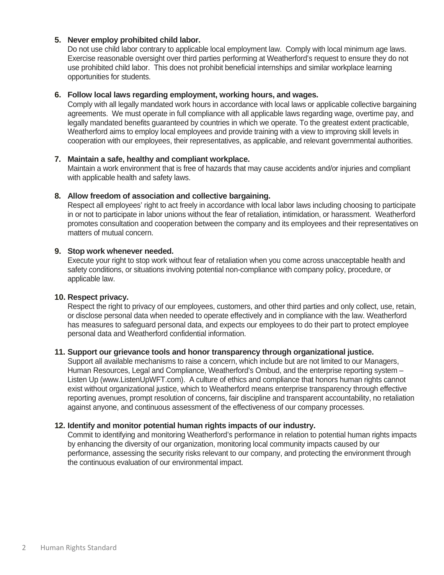# **5. Never employ prohibited child labor.**

Do not use child labor contrary to applicable local employment law. Comply with local minimum age laws. Exercise reasonable oversight over third parties performing at Weatherford's request to ensure they do not use prohibited child labor. This does not prohibit beneficial internships and similar workplace learning opportunities for students.

## **6. Follow local laws regarding employment, working hours, and wages.**

Comply with all legally mandated work hours in accordance with local laws or applicable collective bargaining agreements. We must operate in full compliance with all applicable laws regarding wage, overtime pay, and legally mandated benefits guaranteed by countries in which we operate. To the greatest extent practicable, Weatherford aims to employ local employees and provide training with a view to improving skill levels in cooperation with our employees, their representatives, as applicable, and relevant governmental authorities.

## **7. Maintain a safe, healthy and compliant workplace.**

Maintain a work environment that is free of hazards that may cause accidents and/or injuries and compliant with applicable health and safety laws.

#### **8. Allow freedom of association and collective bargaining.**

Respect all employees' right to act freely in accordance with local labor laws including choosing to participate in or not to participate in labor unions without the fear of retaliation, intimidation, or harassment. Weatherford promotes consultation and cooperation between the company and its employees and their representatives on matters of mutual concern.

#### **9. Stop work whenever needed.**

Execute your right to stop work without fear of retaliation when you come across unacceptable health and safety conditions, or situations involving potential non-compliance with company policy, procedure, or applicable law.

## **10. Respect privacy.**

Respect the right to privacy of our employees, customers, and other third parties and only collect, use, retain, or disclose personal data when needed to operate effectively and in compliance with the law. Weatherford has measures to safeguard personal data, and expects our employees to do their part to protect employee personal data and Weatherford confidential information.

## **11. Support our grievance tools and honor transparency through organizational justice.**

Support all available mechanisms to raise a concern, which include but are not limited to our Managers, Human Resources, Legal and Compliance, Weatherford's Ombud, and the enterprise reporting system – Listen Up [\(www.ListenUpWFT.com\)](http://www.listenupwft.com/). A culture of ethics and compliance that honors human rights cannot exist without organizational justice, which to Weatherford means enterprise transparency through effective reporting avenues, prompt resolution of concerns, fair discipline and transparent accountability, no retaliation against anyone, and continuous assessment of the effectiveness of our company processes.

## **12. Identify and monitor potential human rights impacts of our industry.**

Commit to identifying and monitoring Weatherford's performance in relation to potential human rights impacts by enhancing the diversity of our organization, monitoring local community impacts caused by our performance, assessing the security risks relevant to our company, and protecting the environment through the continuous evaluation of our environmental impact.